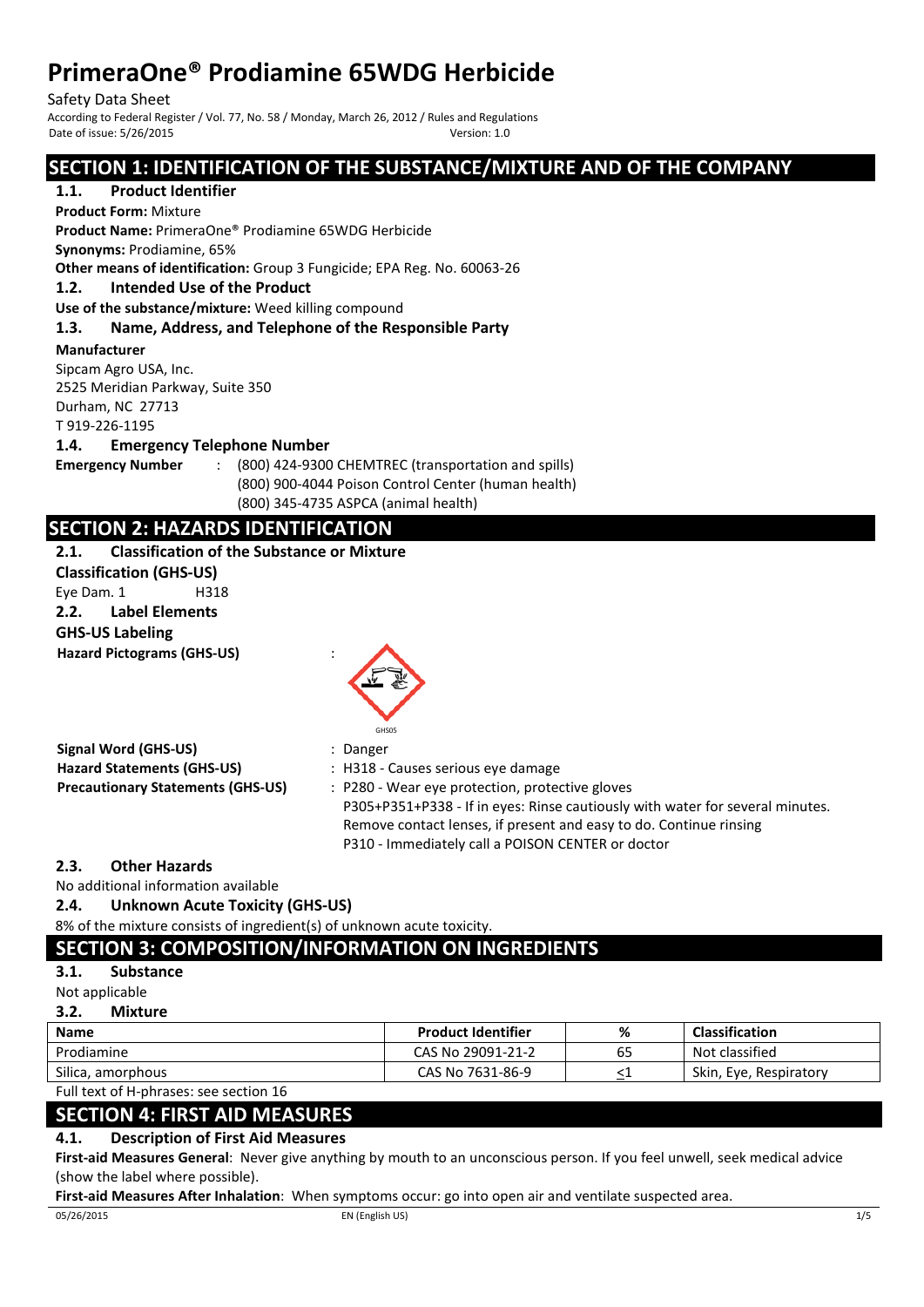Safety Data Sheet<br>According to Federal Register / Vol. 77, No. 58 / Monday, March 26, 2012 / Rules and Regulations Date of issue: 5/26/2015 Version: 1.0

# **SECTION 1: IDENTIFICATION OF THE SUBSTANCE/MIXTURE AND OF THE COMPANY**

## **1.1. Product Identifier**

**Product Form:** Mixture

**Product Name:** PrimeraOne® Prodiamine 65WDG Herbicide

**Synonyms:** Prodiamine, 65%

**Other means of identification:** Group 3 Fungicide; EPA Reg. No. 60063-26

#### **1.2. Intended Use of the Product**

**Use of the substance/mixture:** Weed killing compound

### **1.3. Name, Address, and Telephone of the Responsible Party**

**Manufacturer** 

Sipcam Agro USA, Inc. 2525 Meridian Parkway, Suite 350

Durham, NC 27713

T 919-226-1195

**1.4. Emergency Telephone Number**

**Emergency Number** : (800) 424-9300 CHEMTREC (transportation and spills) (800) 900-4044 Poison Control Center (human health) (800) 345-4735 ASPCA (animal health)

# **SECTION 2: HAZARDS IDENTIFICATION**

**2.1. Classification of the Substance or Mixture**

**Classification (GHS-US)** Eye Dam. 1 H318 **2.2. Label Elements GHS-US Labeling Hazard Pictograms (GHS-US)** :



**Signal Word (GHS-US)** : Danger

| Signal Word (GHS-US)                     |  |
|------------------------------------------|--|
| <b>Hazard Statements (GHS-US)</b>        |  |
| <b>Precautionary Statements (GHS-US)</b> |  |

- **Hazard Statements (GHS-US)** : H318 Causes serious eye damage
- **Precautionary Statements (GHS-US)** : P280 Wear eye protection, protective gloves P305+P351+P338 - If in eyes: Rinse cautiously with water for several minutes. Remove contact lenses, if present and easy to do. Continue rinsing P310 - Immediately call a POISON CENTER or doctor

## **2.3. Other Hazards**

No additional information available

**2.4. Unknown Acute Toxicity (GHS-US)**

8% of the mixture consists of ingredient(s) of unknown acute toxicity.

# **SECTION 3: COMPOSITION/INFORMATION ON INGREDIENTS**

## **3.1. Substance**

Not applicable

**3.2. Mixture**

| <b>Name</b>       | <b>Product Identifier</b> | %  | <b>Classification</b>  |
|-------------------|---------------------------|----|------------------------|
| Prodiamine        | CAS No 29091-21-2         | 65 | Not classified         |
| Silica, amorphous | CAS No 7631-86-9          | _  | Skin, Eve. Respiratory |

Full text of H-phrases: see section 16

# **SECTION 4: FIRST AID MEASURES**

## **4.1. Description of First Aid Measures**

**First-aid Measures General**: Never give anything by mouth to an unconscious person. If you feel unwell, seek medical advice (show the label where possible).

**First-aid Measures After Inhalation**: When symptoms occur: go into open air and ventilate suspected area.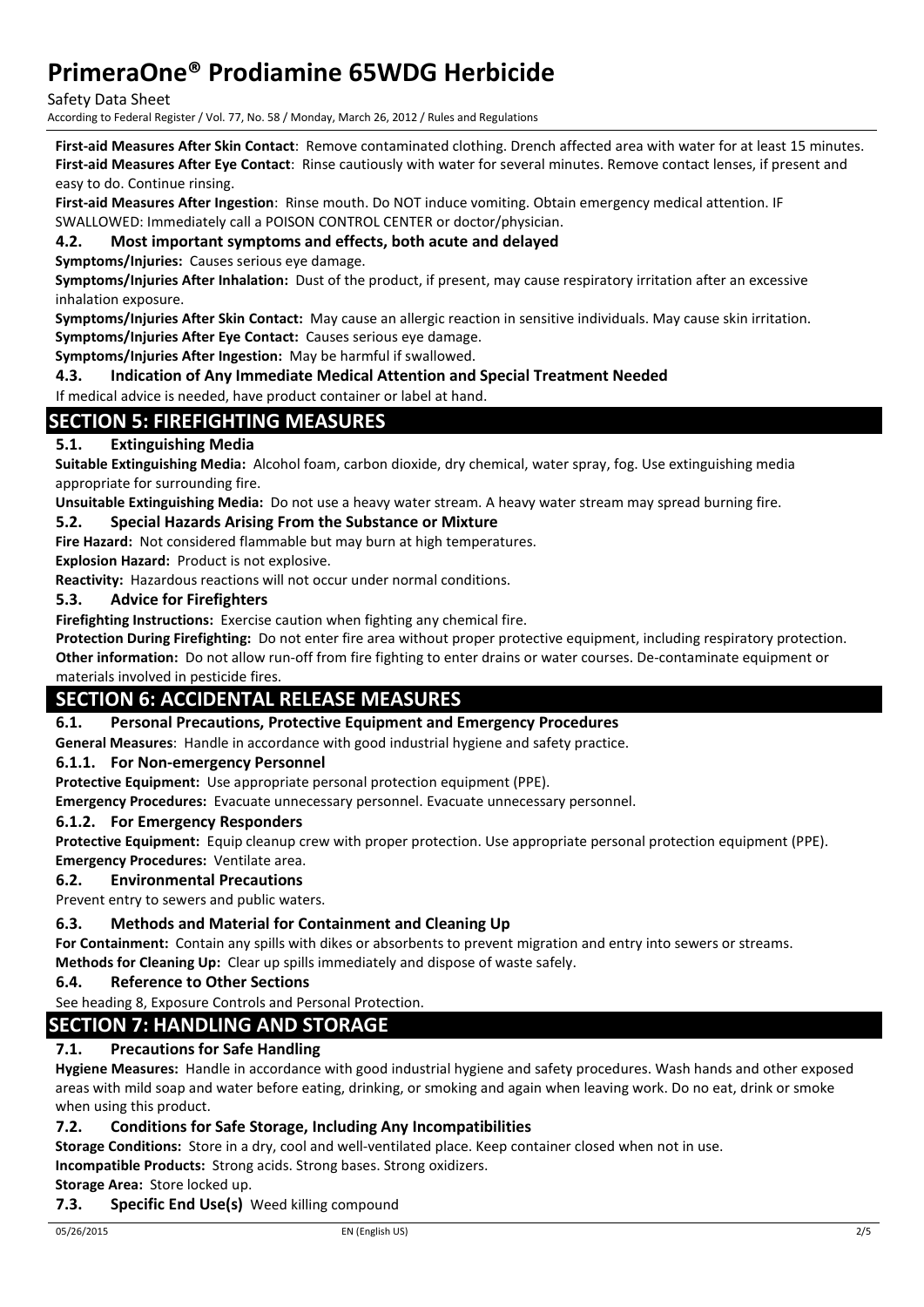Safety Data Sheet

According to Federal Register / Vol. 77, No. 58 / Monday, March 26, 2012 / Rules and Regulations

**First-aid Measures After Skin Contact**: Remove contaminated clothing. Drench affected area with water for at least 15 minutes. **First-aid Measures After Eye Contact**: Rinse cautiously with water for several minutes. Remove contact lenses, if present and easy to do. Continue rinsing.

**First-aid Measures After Ingestion**: Rinse mouth. Do NOT induce vomiting. Obtain emergency medical attention. IF SWALLOWED: Immediately call a POISON CONTROL CENTER or doctor/physician.

#### **4.2. Most important symptoms and effects, both acute and delayed**

**Symptoms/Injuries:** Causes serious eye damage.

**Symptoms/Injuries After Inhalation:** Dust of the product, if present, may cause respiratory irritation after an excessive inhalation exposure.

**Symptoms/Injuries After Skin Contact:** May cause an allergic reaction in sensitive individuals. May cause skin irritation. **Symptoms/Injuries After Eye Contact:** Causes serious eye damage.

**Symptoms/Injuries After Ingestion:** May be harmful if swallowed.

**4.3. Indication of Any Immediate Medical Attention and Special Treatment Needed**

If medical advice is needed, have product container or label at hand.

## **SECTION 5: FIREFIGHTING MEASURES**

#### **5.1. Extinguishing Media**

**Suitable Extinguishing Media:** Alcohol foam, carbon dioxide, dry chemical, water spray, fog. Use extinguishing media appropriate for surrounding fire.

**Unsuitable Extinguishing Media:** Do not use a heavy water stream. A heavy water stream may spread burning fire.

#### **5.2. Special Hazards Arising From the Substance or Mixture**

**Fire Hazard:** Not considered flammable but may burn at high temperatures.

**Explosion Hazard:** Product is not explosive.

**Reactivity:** Hazardous reactions will not occur under normal conditions.

#### **5.3. Advice for Firefighters**

**Firefighting Instructions:** Exercise caution when fighting any chemical fire.

**Protection During Firefighting:** Do not enter fire area without proper protective equipment, including respiratory protection. **Other information:** Do not allow run-off from fire fighting to enter drains or water courses. De-contaminate equipment or

## materials involved in pesticide fires.

# **SECTION 6: ACCIDENTAL RELEASE MEASURES**

#### **6.1. Personal Precautions, Protective Equipment and Emergency Procedures**

**General Measures**: Handle in accordance with good industrial hygiene and safety practice.

#### **6.1.1. For Non-emergency Personnel**

**Protective Equipment:** Use appropriate personal protection equipment (PPE).

**Emergency Procedures:** Evacuate unnecessary personnel. Evacuate unnecessary personnel.

#### **6.1.2. For Emergency Responders**

**Protective Equipment:** Equip cleanup crew with proper protection. Use appropriate personal protection equipment (PPE). **Emergency Procedures:** Ventilate area.

#### **6.2. Environmental Precautions**

Prevent entry to sewers and public waters.

#### **6.3. Methods and Material for Containment and Cleaning Up**

**For Containment:** Contain any spills with dikes or absorbents to prevent migration and entry into sewers or streams.

**Methods for Cleaning Up:** Clear up spills immediately and dispose of waste safely.

**6.4. Reference to Other Sections**

See heading 8, Exposure Controls and Personal Protection.

## **SECTION 7: HANDLING AND STORAGE**

#### **7.1. Precautions for Safe Handling**

**Hygiene Measures:** Handle in accordance with good industrial hygiene and safety procedures. Wash hands and other exposed areas with mild soap and water before eating, drinking, or smoking and again when leaving work. Do no eat, drink or smoke when using this product.

#### **7.2. Conditions for Safe Storage, Including Any Incompatibilities**

**Storage Conditions:** Store in a dry, cool and well-ventilated place. Keep container closed when not in use.

**Incompatible Products:** Strong acids. Strong bases. Strong oxidizers.

**Storage Area:** Store locked up.

#### **7.3. Specific End Use(s)** Weed killing compound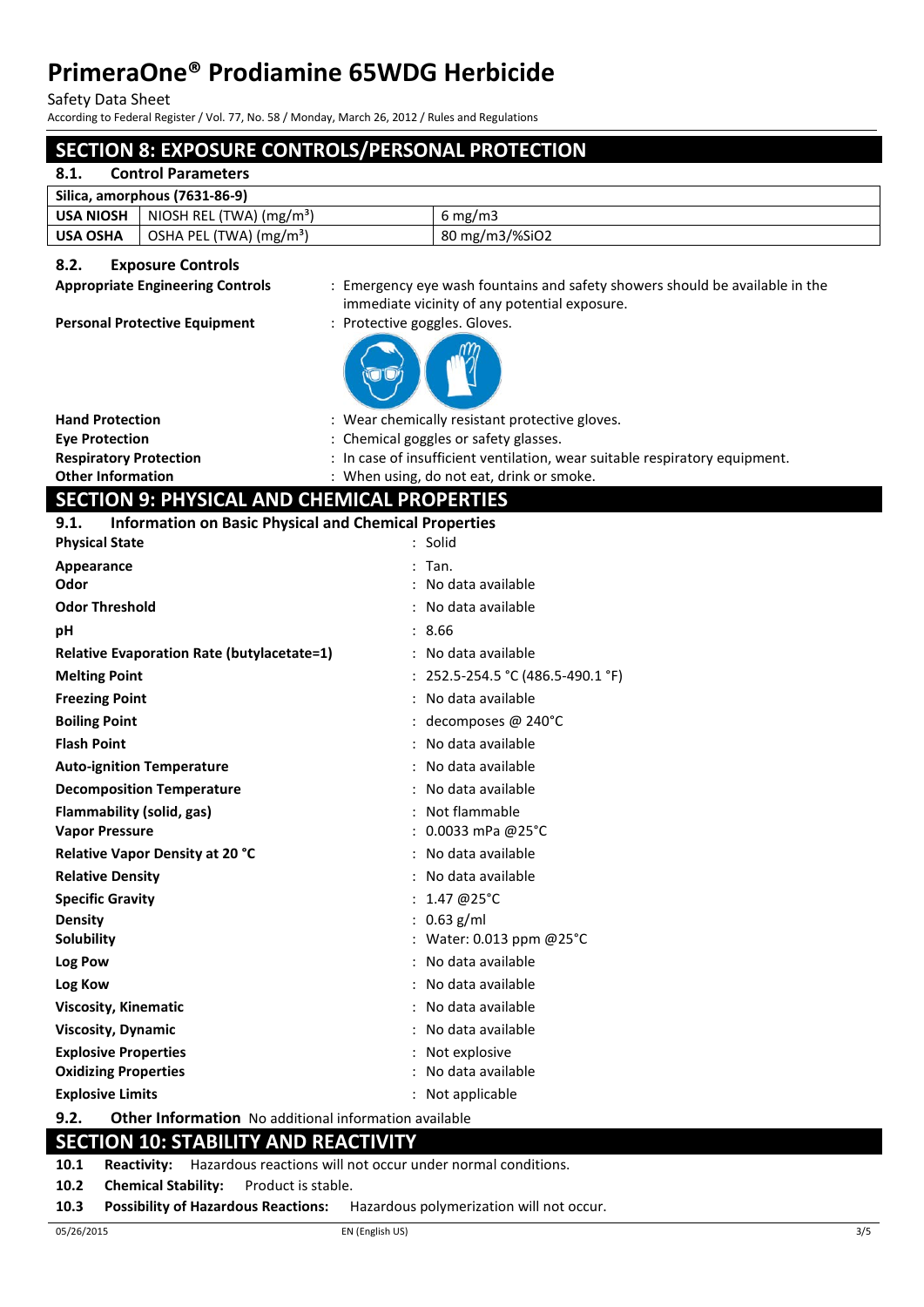Safety Data Sheet

According to Federal Register / Vol. 77, No. 58 / Monday, March 26, 2012 / Rules and Regulations

# **SECTION 8: EXPOSURE CONTROLS/PERSONAL PROTECTION**

#### **8.1. Control Parameters**

| Silica, amorphous (7631-86-9) |                                      |                  |  |
|-------------------------------|--------------------------------------|------------------|--|
| <b>USA NIOSH</b>              | NIOSH REL (TWA) (mg/m <sup>3</sup> ) | $6 \text{ mg/m}$ |  |
| <b>USA OSHA</b>               | OSHA PEL (TWA) (mg/m <sup>3</sup> )  | 80 mg/m3/%SiO2   |  |

#### **8.2. Exposure Controls**

**Appropriate Engineering Controls** : Emergency eye wash fountains and safety showers should be available in the immediate vicinity of any potential exposure.

#### Personal Protective Equipment : Protective goggles. Gloves.



| <b>Hand Protection</b>        | : Wear chemically resistant protective gloves.                              |
|-------------------------------|-----------------------------------------------------------------------------|
| <b>Eve Protection</b>         | : Chemical goggles or safety glasses.                                       |
| <b>Respiratory Protection</b> | : In case of insufficient ventilation, wear suitable respiratory equipment. |
| <b>Other Information</b>      | : When using, do not eat, drink or smoke.                                   |

# **SECTION 9: PHYSICAL AND CHEMICAL PROPERTIES**

| 9.1. | <b>Information on Basic Physical and Chemical Properties</b> |  |  |  |  |
|------|--------------------------------------------------------------|--|--|--|--|
|------|--------------------------------------------------------------|--|--|--|--|

| <b>Physical State</b>                                                | : Solid                           |
|----------------------------------------------------------------------|-----------------------------------|
| Appearance                                                           | $:$ Tan.                          |
| Odor                                                                 | : No data available               |
| <b>Odor Threshold</b>                                                | : No data available               |
| pH                                                                   | : 8.66                            |
| <b>Relative Evaporation Rate (butylacetate=1)</b>                    | : No data available               |
| <b>Melting Point</b>                                                 | : 252.5-254.5 °C (486.5-490.1 °F) |
| <b>Freezing Point</b>                                                | : No data available               |
| <b>Boiling Point</b>                                                 | : decomposes @ 240°C              |
| <b>Flash Point</b>                                                   | : No data available               |
| <b>Auto-ignition Temperature</b>                                     | : No data available               |
| <b>Decomposition Temperature</b>                                     | No data available                 |
| Flammability (solid, gas)                                            | : Not flammable                   |
| <b>Vapor Pressure</b>                                                | : 0.0033 mPa @25°C                |
| Relative Vapor Density at 20 °C                                      | : No data available               |
| <b>Relative Density</b>                                              | : No data available               |
| <b>Specific Gravity</b>                                              | : $1.47 \ @ 25^{\circ}$ C         |
| Density                                                              | : $0.63$ g/ml                     |
| <b>Solubility</b>                                                    | : Water: 0.013 ppm @25°C          |
| Log Pow                                                              | : No data available               |
| Log Kow                                                              | : No data available               |
| <b>Viscosity, Kinematic</b>                                          | : No data available               |
| <b>Viscosity, Dynamic</b>                                            | No data available                 |
| <b>Explosive Properties</b>                                          | : Not explosive                   |
| <b>Oxidizing Properties</b>                                          | No data available                 |
| <b>Explosive Limits</b>                                              | : Not applicable                  |
| 9.2.<br><b>Other Information</b> No additional information available |                                   |

## **SECTION 10: STABILITY AND REACTIVITY**

**10.1 Reactivity:** Hazardous reactions will not occur under normal conditions.

**10.2 Chemical Stability:** Product is stable.

**10.3 Possibility of Hazardous Reactions:** Hazardous polymerization will not occur.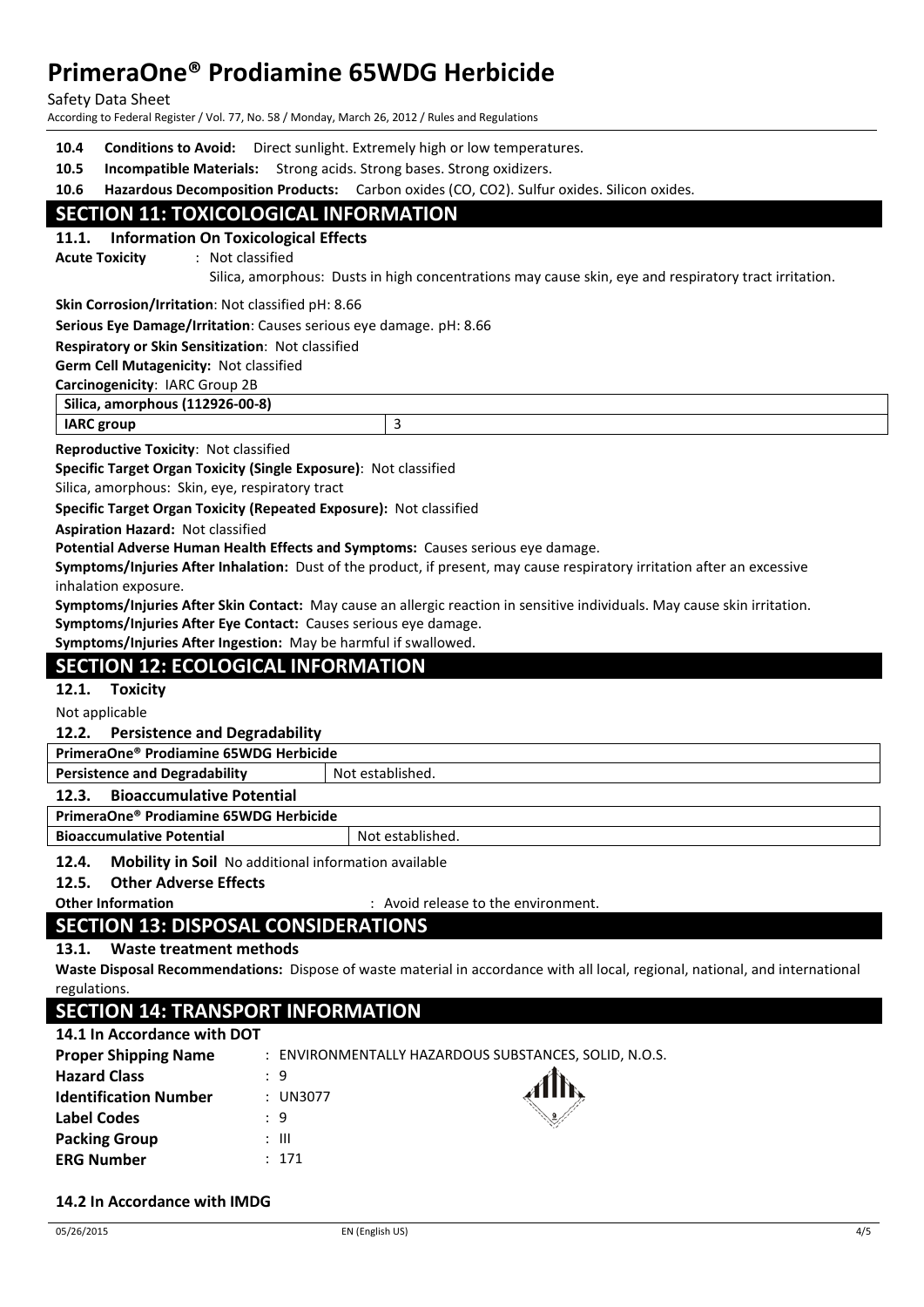Safety Data Sheet

According to Federal Register / Vol. 77, No. 58 / Monday, March 26, 2012 / Rules and Regulations

| 10.4                            | <b>Conditions to Avoid:</b> Direct sunlight. Extremely high or low temperatures. |                                                                                                       |  |  |
|---------------------------------|----------------------------------------------------------------------------------|-------------------------------------------------------------------------------------------------------|--|--|
| 10.5                            | <b>Incompatible Materials:</b> Strong acids. Strong bases. Strong oxidizers.     |                                                                                                       |  |  |
| 10.6                            |                                                                                  | Hazardous Decomposition Products: Carbon oxides (CO, CO2). Sulfur oxides. Silicon oxides.             |  |  |
|                                 | <b>SECTION 11: TOXICOLOGICAL INFORMATION</b>                                     |                                                                                                       |  |  |
|                                 | 11.1. Information On Toxicological Effects                                       |                                                                                                       |  |  |
|                                 | : Not classified<br><b>Acute Toxicity</b>                                        |                                                                                                       |  |  |
|                                 |                                                                                  | Silica, amorphous: Dusts in high concentrations may cause skin, eye and respiratory tract irritation. |  |  |
|                                 | <b>Skin Corrosion/Irritation: Not classified pH: 8.66</b>                        |                                                                                                       |  |  |
|                                 | Serious Eye Damage/Irritation: Causes serious eye damage. pH: 8.66               |                                                                                                       |  |  |
|                                 | <b>Respiratory or Skin Sensitization: Not classified</b>                         |                                                                                                       |  |  |
|                                 | <b>Germ Cell Mutagenicity: Not classified</b>                                    |                                                                                                       |  |  |
| Carcinogenicity: IARC Group 2B  |                                                                                  |                                                                                                       |  |  |
| Silica, amorphous (112926-00-8) |                                                                                  |                                                                                                       |  |  |
|                                 | <b>IARC</b> group                                                                | 3                                                                                                     |  |  |
|                                 |                                                                                  |                                                                                                       |  |  |

**Reproductive Toxicity**: Not classified

**Specific Target Organ Toxicity (Single Exposure)**: Not classified

Silica, amorphous: Skin, eye, respiratory tract

**Specific Target Organ Toxicity (Repeated Exposure):** Not classified

**Aspiration Hazard:** Not classified

**Potential Adverse Human Health Effects and Symptoms:** Causes serious eye damage.

**Symptoms/Injuries After Inhalation:** Dust of the product, if present, may cause respiratory irritation after an excessive inhalation exposure.

**Symptoms/Injuries After Skin Contact:** May cause an allergic reaction in sensitive individuals. May cause skin irritation. **Symptoms/Injuries After Eye Contact:** Causes serious eye damage.

**Symptoms/Injuries After Ingestion:** May be harmful if swallowed.

# **SECTION 12: ECOLOGICAL INFORMATION**

**12.1. Toxicity**

Not applicable

**12.2. Persistence and Degradability**

| PrimeraOne® Prodiamine 65WDG Herbicide    |                  |  |
|-------------------------------------------|------------------|--|
| <b>Persistence and Degradability</b>      | Not established. |  |
| 12.3.<br><b>Bioaccumulative Potential</b> |                  |  |
| PrimeraOne® Prodiamine 65WDG Herbicide    |                  |  |

**Bioaccumulative Potential Not established.** Not established.

**12.4. Mobility in Soil** No additional information available

## **12.5. Other Adverse Effects**

**Other Information** : Avoid release to the environment.

# **SECTION 13: DISPOSAL CONSIDERATIONS**

#### **13.1. Waste treatment methods**

**Waste Disposal Recommendations:** Dispose of waste material in accordance with all local, regional, national, and international regulations.

# **SECTION 14: TRANSPORT INFORMATION**

#### **14.1 In Accordance with DOT**

| <b>Proper Shipping Name</b>  |          | : ENVIRONMENTALLY HAZARDOUS SUBSTANCES, SOLID, N.O.S. |
|------------------------------|----------|-------------------------------------------------------|
| <b>Hazard Class</b>          | : 9      |                                                       |
| <b>Identification Number</b> | : UN3077 |                                                       |
| Label Codes                  | : 9      |                                                       |
| <b>Packing Group</b>         | : III    |                                                       |
| <b>ERG Number</b>            | : 171    |                                                       |

#### **14.2 In Accordance with IMDG**